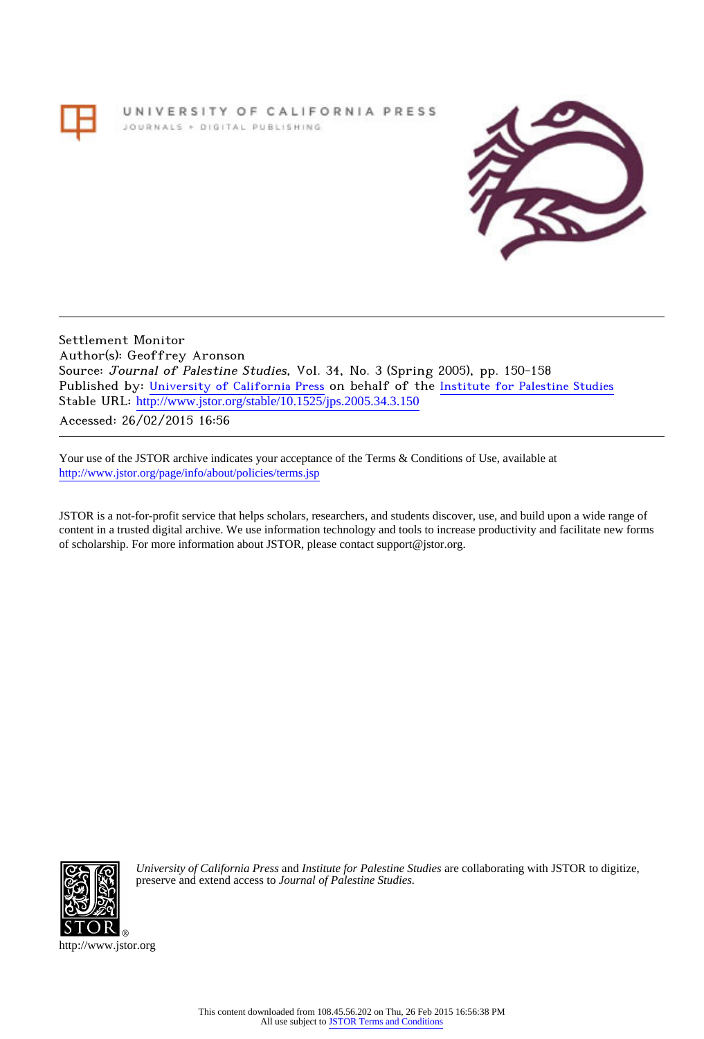# UNIVERSITY OF CALIFORNIA PRESS JOURNALS + DIGITAL PUBLISHING



Settlement Monitor Author(s): Geoffrey Aronson Source: Journal of Palestine Studies, Vol. 34, No. 3 (Spring 2005), pp. 150-158 Published by: [University of California Press](http://www.jstor.org/action/showPublisher?publisherCode=ucal) on behalf of the [Institute for Palestine Studies](http://www.jstor.org/action/showPublisher?publisherCode=palstud) Stable URL: http://www.jstor.org/stable/10.1525/jps.2005.34.3.150

Accessed: 26/02/2015 16:56

Your use of the JSTOR archive indicates your acceptance of the Terms & Conditions of Use, available at <http://www.jstor.org/page/info/about/policies/terms.jsp>

JSTOR is a not-for-profit service that helps scholars, researchers, and students discover, use, and build upon a wide range of content in a trusted digital archive. We use information technology and tools to increase productivity and facilitate new forms of scholarship. For more information about JSTOR, please contact support@jstor.org.



*University of California Press* and *Institute for Palestine Studies* are collaborating with JSTOR to digitize, preserve and extend access to *Journal of Palestine Studies.*

http://www.jstor.org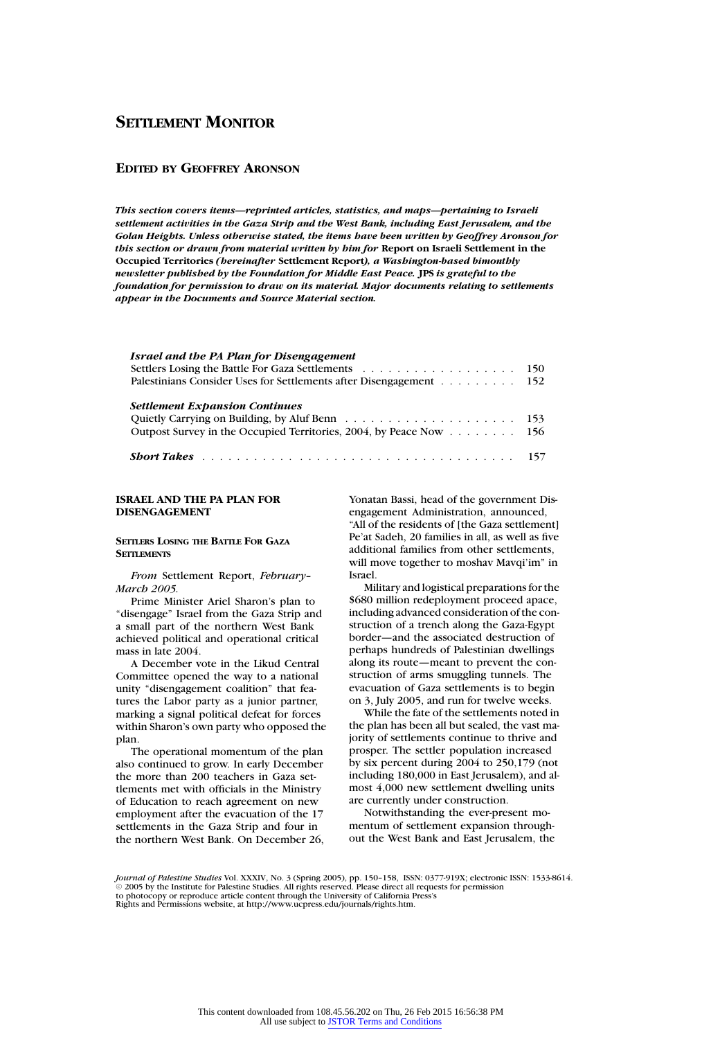# **EDITED BY GEOFFREY ARONSON**

*This section covers items—reprinted articles, statistics, and maps—pertaining to Israeli settlement activities in the Gaza Strip and the West Bank, including East Jerusalem, and the Golan Heights. Unless otherwise stated, the items have been written by Geoffrey Aronson for this section or drawn from material written by him for* **Report on Israeli Settlement in the Occupied Territories** *(hereinafter* **Settlement Report***), a Washington-based bimonthly newsletter published by the Foundation for Middle East Peace.* **JPS** *is grateful to the foundation for permission to draw on its material. Major documents relating to settlements appear in the Documents and Source Material section.*

| Israel and the PA Plan for Disengagement<br>Palestinians Consider Uses for Settlements after Disengagement 152 |  |
|----------------------------------------------------------------------------------------------------------------|--|
| <b>Settlement Expansion Continues</b><br>Outpost Survey in the Occupied Territories, 2004, by Peace Now 156    |  |
| <b>Short Takes</b> experience in the contract of the contract of the contract of $157$                         |  |

# **ISRAEL AND THE PA PLAN FOR DISENGAGEMENT**

# **SETTLERS LOSING THE BATTLE FOR GAZA SETTLEMENTS**

*From* Settlement Report, *February– March 2005.*

Prime Minister Ariel Sharon's plan to "disengage" Israel from the Gaza Strip and a small part of the northern West Bank achieved political and operational critical mass in late 2004.

A December vote in the Likud Central Committee opened the way to a national unity "disengagement coalition" that features the Labor party as a junior partner, marking a signal political defeat for forces within Sharon's own party who opposed the plan.

The operational momentum of the plan also continued to grow. In early December the more than 200 teachers in Gaza settlements met with officials in the Ministry of Education to reach agreement on new employment after the evacuation of the 17 settlements in the Gaza Strip and four in the northern West Bank. On December 26, Yonatan Bassi, head of the government Disengagement Administration, announced, "All of the residents of [the Gaza settlement] Pe'at Sadeh, 20 families in all, as well as five additional families from other settlements, will move together to moshav Mavqi'im" in Israel.

Military and logistical preparations for the \$680 million redeployment proceed apace, including advanced consideration of the construction of a trench along the Gaza-Egypt border—and the associated destruction of perhaps hundreds of Palestinian dwellings along its route—meant to prevent the construction of arms smuggling tunnels. The evacuation of Gaza settlements is to begin on 3, July 2005, and run for twelve weeks.

While the fate of the settlements noted in the plan has been all but sealed, the vast majority of settlements continue to thrive and prosper. The settler population increased by six percent during 2004 to 250,179 (not including 180,000 in East Jerusalem), and almost 4,000 new settlement dwelling units are currently under construction.

Notwithstanding the ever-present momentum of settlement expansion throughout the West Bank and East Jerusalem, the

*Journal of Palestine Studies* Vol. XXXIV, No. 3 (Spring 2005), pp. 150-158, ISSN: 0377-919X; electronic ISSN: 1533-8614.<br>© 2005 by the Institute for Palestine Studies. All rights reserved. Please direct all requests for to photocopy or reproduce article content through the University of California Press's Rights and Permissions website, at http://www.ucpress.edu/journals/rights.htm.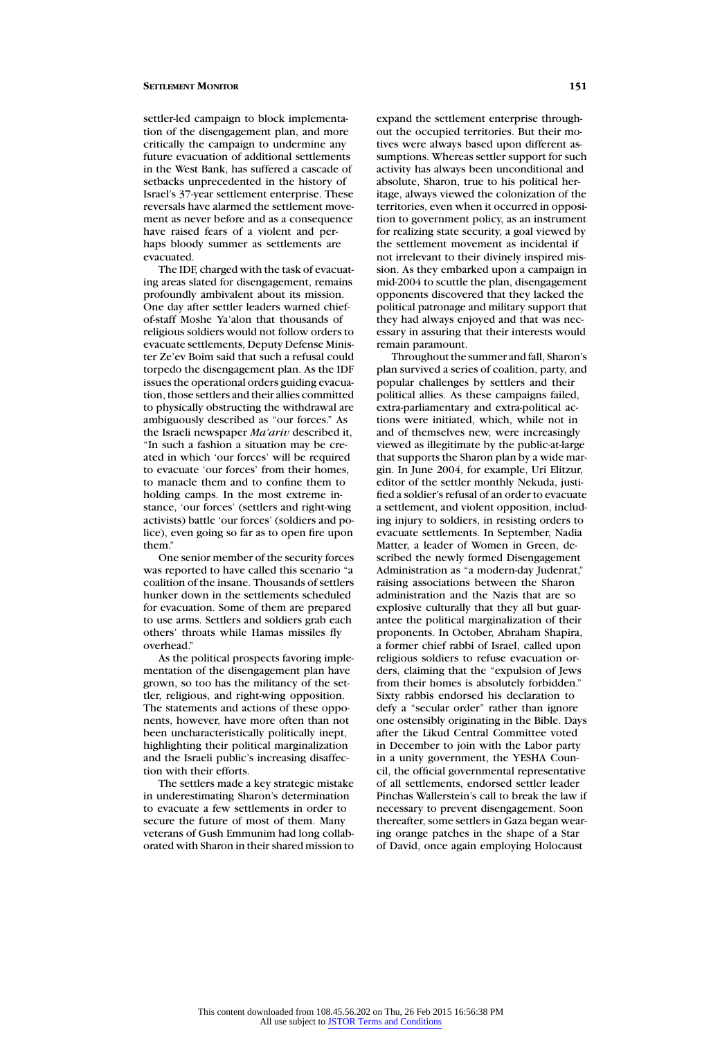settler-led campaign to block implementation of the disengagement plan, and more critically the campaign to undermine any future evacuation of additional settlements in the West Bank, has suffered a cascade of setbacks unprecedented in the history of Israel's 37-year settlement enterprise. These reversals have alarmed the settlement movement as never before and as a consequence have raised fears of a violent and perhaps bloody summer as settlements are evacuated.

The IDF, charged with the task of evacuating areas slated for disengagement, remains profoundly ambivalent about its mission. One day after settler leaders warned chiefof-staff Moshe Ya'alon that thousands of religious soldiers would not follow orders to evacuate settlements, Deputy Defense Minister Ze'ev Boim said that such a refusal could torpedo the disengagement plan. As the IDF issues the operational orders guiding evacuation, those settlers and their allies committed to physically obstructing the withdrawal are ambiguously described as "our forces." As the Israeli newspaper *Ma'ariv* described it, "In such a fashion a situation may be created in which 'our forces' will be required to evacuate 'our forces' from their homes, to manacle them and to confine them to holding camps. In the most extreme instance, 'our forces' (settlers and right-wing activists) battle 'our forces' (soldiers and police), even going so far as to open fire upon them"

One senior member of the security forces was reported to have called this scenario "a coalition of the insane. Thousands of settlers hunker down in the settlements scheduled for evacuation. Some of them are prepared to use arms. Settlers and soldiers grab each others' throats while Hamas missiles fly overhead."

As the political prospects favoring implementation of the disengagement plan have grown, so too has the militancy of the settler, religious, and right-wing opposition. The statements and actions of these opponents, however, have more often than not been uncharacteristically politically inept, highlighting their political marginalization and the Israeli public's increasing disaffection with their efforts.

The settlers made a key strategic mistake in underestimating Sharon's determination to evacuate a few settlements in order to secure the future of most of them. Many veterans of Gush Emmunim had long collaborated with Sharon in their shared mission to expand the settlement enterprise throughout the occupied territories. But their motives were always based upon different assumptions. Whereas settler support for such activity has always been unconditional and absolute, Sharon, true to his political heritage, always viewed the colonization of the territories, even when it occurred in opposition to government policy, as an instrument for realizing state security, a goal viewed by the settlement movement as incidental if not irrelevant to their divinely inspired mission. As they embarked upon a campaign in mid-2004 to scuttle the plan, disengagement opponents discovered that they lacked the political patronage and military support that they had always enjoyed and that was necessary in assuring that their interests would remain paramount.

Throughout the summer and fall, Sharon's plan survived a series of coalition, party, and popular challenges by settlers and their political allies. As these campaigns failed, extra-parliamentary and extra-political actions were initiated, which, while not in and of themselves new, were increasingly viewed as illegitimate by the public-at-large that supports the Sharon plan by a wide margin. In June 2004, for example, Uri Elitzur, editor of the settler monthly Nekuda, justified a soldier's refusal of an order to evacuate a settlement, and violent opposition, including injury to soldiers, in resisting orders to evacuate settlements. In September, Nadia Matter, a leader of Women in Green, described the newly formed Disengagement Administration as "a modern-day Judenrat," raising associations between the Sharon administration and the Nazis that are so explosive culturally that they all but guarantee the political marginalization of their proponents. In October, Abraham Shapira, a former chief rabbi of Israel, called upon religious soldiers to refuse evacuation orders, claiming that the "expulsion of Jews from their homes is absolutely forbidden." Sixty rabbis endorsed his declaration to defy a "secular order" rather than ignore one ostensibly originating in the Bible. Days after the Likud Central Committee voted in December to join with the Labor party in a unity government, the YESHA Council, the official governmental representative of all settlements, endorsed settler leader Pinchas Wallerstein's call to break the law if necessary to prevent disengagement. Soon thereafter, some settlers in Gaza began wearing orange patches in the shape of a Star of David, once again employing Holocaust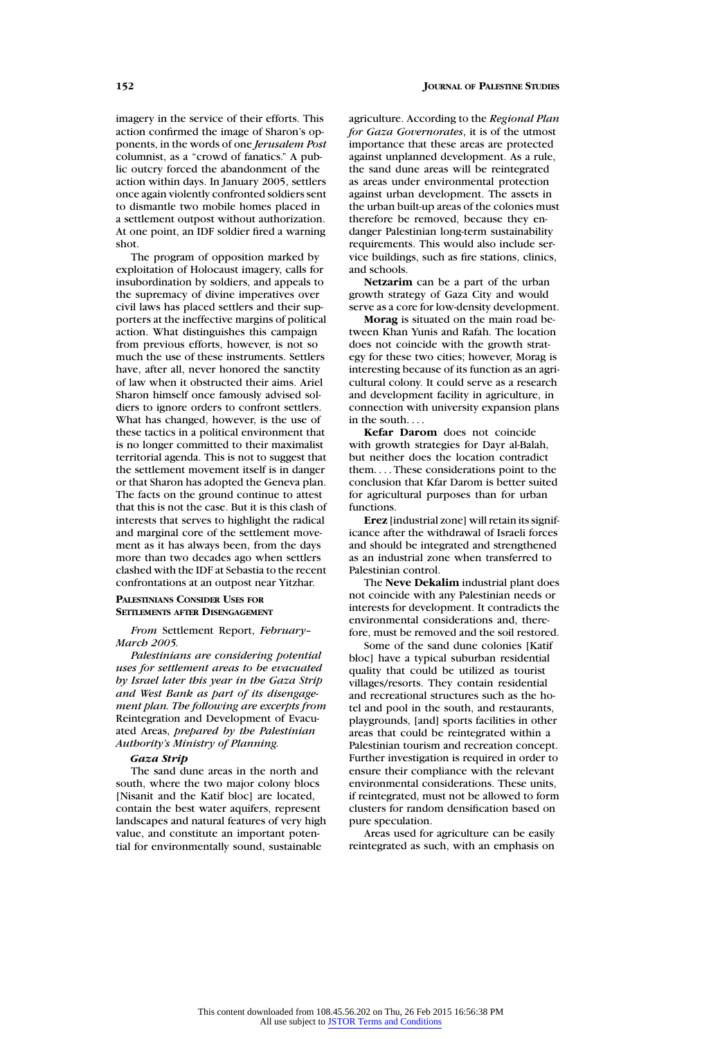imagery in the service of their efforts. This action confirmed the image of Sharon's opponents, in the words of one *Jerusalem Post* columnist, as a "crowd of fanatics." A public outcry forced the abandonment of the action within days. In January 2005, settlers once again violently confronted soldiers sent to dismantle two mobile homes placed in a settlement outpost without authorization. At one point, an IDF soldier fired a warning shot.

The program of opposition marked by exploitation of Holocaust imagery, calls for insubordination by soldiers, and appeals to the supremacy of divine imperatives over civil laws has placed settlers and their supporters at the ineffective margins of political action. What distinguishes this campaign from previous efforts, however, is not so much the use of these instruments. Settlers have, after all, never honored the sanctity of law when it obstructed their aims. Ariel Sharon himself once famously advised soldiers to ignore orders to confront settlers. What has changed, however, is the use of these tactics in a political environment that is no longer committed to their maximalist territorial agenda. This is not to suggest that the settlement movement itself is in danger or that Sharon has adopted the Geneva plan. The facts on the ground continue to attest that this is not the case. But it is this clash of interests that serves to highlight the radical and marginal core of the settlement movement as it has always been, from the days more than two decades ago when settlers clashed with the IDF at Sebastia to the recent confrontations at an outpost near Yitzhar.

# **PALESTINIANS CONSIDER USES FOR SETTLEMENTS AFTER DISENGAGEMENT**

*From* Settlement Report, *February– March 2005.*

*Palestinians are considering potential uses for settlement areas to be evacuated by Israel later this year in the Gaza Strip and West Bank as part of its disengagement plan. The following are excerpts from* Reintegration and Development of Evacuated Areas, *prepared by the Palestinian Authority's Ministry of Planning.*

#### *Gaza Strip*

The sand dune areas in the north and south, where the two major colony blocs [Nisanit and the Katif bloc] are located, contain the best water aquifers, represent landscapes and natural features of very high value, and constitute an important potential for environmentally sound, sustainable

agriculture. According to the *Regional Plan for Gaza Governorates*, it is of the utmost importance that these areas are protected against unplanned development. As a rule, the sand dune areas will be reintegrated as areas under environmental protection against urban development. The assets in the urban built-up areas of the colonies must therefore be removed, because they endanger Palestinian long-term sustainability requirements. This would also include service buildings, such as fire stations, clinics, and schools.

**Netzarim** can be a part of the urban growth strategy of Gaza City and would serve as a core for low-density development.

**Morag** is situated on the main road between Khan Yunis and Rafah. The location does not coincide with the growth strategy for these two cities; however, Morag is interesting because of its function as an agricultural colony. It could serve as a research and development facility in agriculture, in connection with university expansion plans in the south....

**Kefar Darom** does not coincide with growth strategies for Dayr al-Balah, but neither does the location contradict them.... These considerations point to the conclusion that Kfar Darom is better suited for agricultural purposes than for urban functions.

**Erez** [industrial zone] will retain its significance after the withdrawal of Israeli forces and should be integrated and strengthened as an industrial zone when transferred to Palestinian control.

The **Neve Dekalim** industrial plant does not coincide with any Palestinian needs or interests for development. It contradicts the environmental considerations and, therefore, must be removed and the soil restored.

Some of the sand dune colonies [Katif bloc] have a typical suburban residential quality that could be utilized as tourist villages/resorts. They contain residential and recreational structures such as the hotel and pool in the south, and restaurants, playgrounds, [and] sports facilities in other areas that could be reintegrated within a Palestinian tourism and recreation concept. Further investigation is required in order to ensure their compliance with the relevant environmental considerations. These units, if reintegrated, must not be allowed to form clusters for random densification based on pure speculation.

Areas used for agriculture can be easily reintegrated as such, with an emphasis on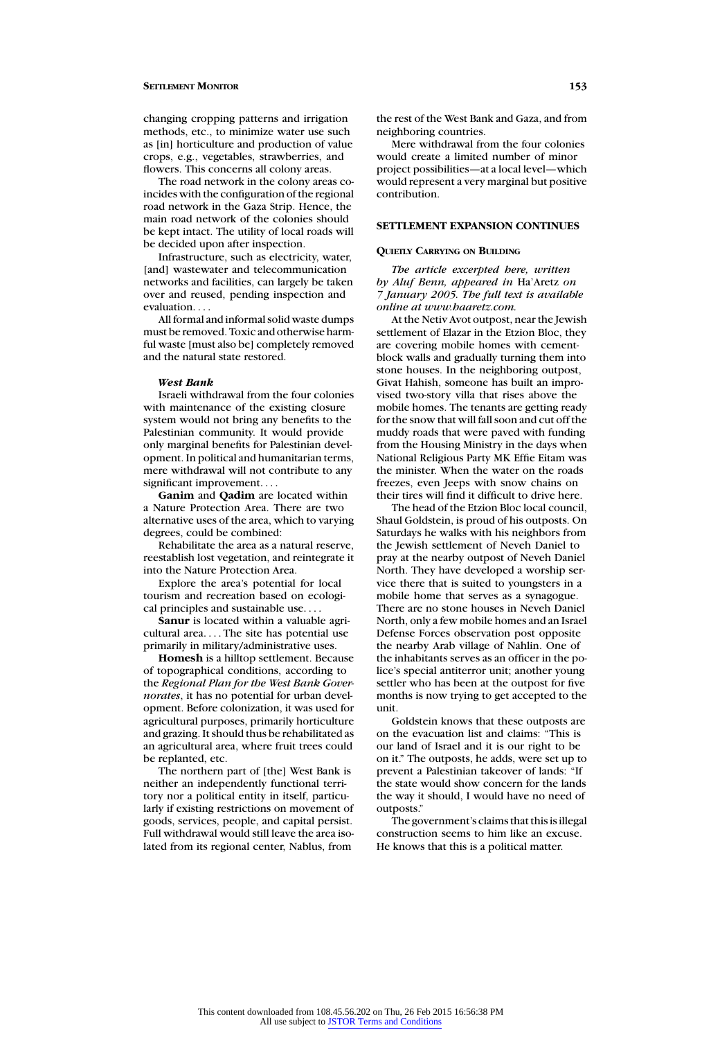changing cropping patterns and irrigation methods, etc., to minimize water use such as [in] horticulture and production of value crops, e.g., vegetables, strawberries, and flowers. This concerns all colony areas.

The road network in the colony areas coincides with the configuration of the regional road network in the Gaza Strip. Hence, the main road network of the colonies should be kept intact. The utility of local roads will be decided upon after inspection.

Infrastructure, such as electricity, water, [and] wastewater and telecommunication networks and facilities, can largely be taken over and reused, pending inspection and evaluation

All formal and informal solid waste dumps must be removed. Toxic and otherwise harmful waste [must also be] completely removed and the natural state restored.

#### *West Bank*

Israeli withdrawal from the four colonies with maintenance of the existing closure system would not bring any benefits to the Palestinian community. It would provide only marginal benefits for Palestinian development. In political and humanitarian terms, mere withdrawal will not contribute to any significant improvement...

**Ganim** and **Qadim** are located within a Nature Protection Area. There are two alternative uses of the area, which to varying degrees, could be combined:

Rehabilitate the area as a natural reserve, reestablish lost vegetation, and reintegrate it into the Nature Protection Area.

Explore the area's potential for local tourism and recreation based on ecological principles and sustainable use....

**Sanur** is located within a valuable agricultural area.... The site has potential use primarily in military/administrative uses.

**Homesh** is a hilltop settlement. Because of topographical conditions, according to the *Regional Plan for the West Bank Governorates*, it has no potential for urban development. Before colonization, it was used for agricultural purposes, primarily horticulture and grazing. It should thus be rehabilitated as an agricultural area, where fruit trees could be replanted, etc.

The northern part of [the] West Bank is neither an independently functional territory nor a political entity in itself, particularly if existing restrictions on movement of goods, services, people, and capital persist. Full withdrawal would still leave the area isolated from its regional center, Nablus, from

the rest of the West Bank and Gaza, and from neighboring countries.

Mere withdrawal from the four colonies would create a limited number of minor project possibilities—at a local level—which would represent a very marginal but positive contribution.

# **SETTLEMENT EXPANSION CONTINUES**

#### **QUIETLY CARRYING ON BUILDING**

*The article excerpted here, written by Aluf Benn, appeared in* Ha'Aretz *on 7 January 2005. The full text is available online at www.haaretz.com.*

At the Netiv Avot outpost, near the Jewish settlement of Elazar in the Etzion Bloc, they are covering mobile homes with cementblock walls and gradually turning them into stone houses. In the neighboring outpost, Givat Hahish, someone has built an improvised two-story villa that rises above the mobile homes. The tenants are getting ready forthe snow that will fall soon and cut off the muddy roads that were paved with funding from the Housing Ministry in the days when National Religious Party MK Effie Eitam was the minister. When the water on the roads freezes, even Jeeps with snow chains on their tires will find it difficult to drive here.

The head of the Etzion Bloc local council, Shaul Goldstein, is proud of his outposts. On Saturdays he walks with his neighbors from the Jewish settlement of Neveh Daniel to pray at the nearby outpost of Neveh Daniel North. They have developed a worship service there that is suited to youngsters in a mobile home that serves as a synagogue. There are no stone houses in Neveh Daniel North, only a few mobile homes and an Israel Defense Forces observation post opposite the nearby Arab village of Nahlin. One of the inhabitants serves as an officer in the police's special antiterror unit; another young settler who has been at the outpost for five months is now trying to get accepted to the unit.

Goldstein knows that these outposts are on the evacuation list and claims: "This is our land of Israel and it is our right to be on it." The outposts, he adds, were set up to prevent a Palestinian takeover of lands: "If the state would show concern for the lands the way it should, I would have no need of outposts."

The government's claims that this is illegal construction seems to him like an excuse. He knows that this is a political matter.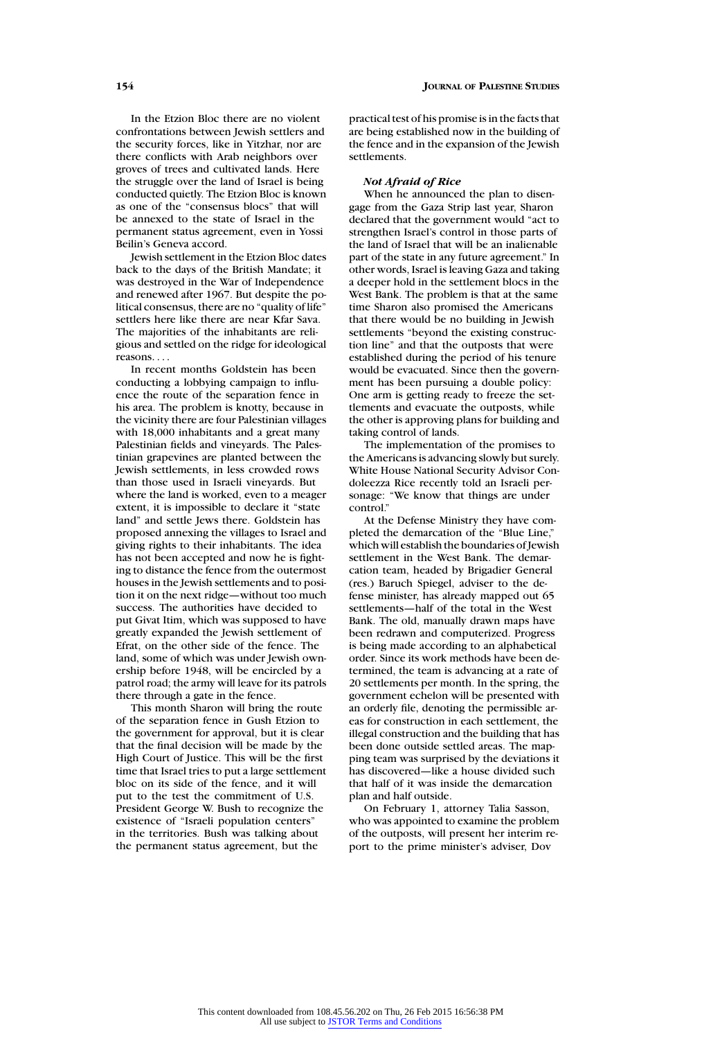In the Etzion Bloc there are no violent confrontations between Jewish settlers and the security forces, like in Yitzhar, nor are there conflicts with Arab neighbors over groves of trees and cultivated lands. Here the struggle over the land of Israel is being conducted quietly. The Etzion Bloc is known as one of the "consensus blocs" that will be annexed to the state of Israel in the permanent status agreement, even in Yossi Beilin's Geneva accord.

Jewish settlement in the Etzion Bloc dates back to the days of the British Mandate; it was destroyed in the War of Independence and renewed after 1967. But despite the political consensus, there are no "quality of life" settlers here like there are near Kfar Sava. The majorities of the inhabitants are religious and settled on the ridge for ideological reasons....

In recent months Goldstein has been conducting a lobbying campaign to influence the route of the separation fence in his area. The problem is knotty, because in the vicinity there are four Palestinian villages with 18,000 inhabitants and a great many Palestinian fields and vineyards. The Palestinian grapevines are planted between the Jewish settlements, in less crowded rows than those used in Israeli vineyards. But where the land is worked, even to a meager extent, it is impossible to declare it "state land" and settle Jews there. Goldstein has proposed annexing the villages to Israel and giving rights to their inhabitants. The idea has not been accepted and now he is fighting to distance the fence from the outermost houses in the Jewish settlements and to position it on the next ridge—without too much success. The authorities have decided to put Givat Itim, which was supposed to have greatly expanded the Jewish settlement of Efrat, on the other side of the fence. The land, some of which was under Jewish ownership before 1948, will be encircled by a patrol road; the army will leave for its patrols there through a gate in the fence.

This month Sharon will bring the route of the separation fence in Gush Etzion to the government for approval, but it is clear that the final decision will be made by the High Court of Justice. This will be the first time that Israel tries to put a large settlement bloc on its side of the fence, and it will put to the test the commitment of U.S. President George W. Bush to recognize the existence of "Israeli population centers" in the territories. Bush was talking about the permanent status agreement, but the

practical test of his promise is in the facts that are being established now in the building of the fence and in the expansion of the Jewish settlements.

#### *Not Afraid of Rice*

When he announced the plan to disengage from the Gaza Strip last year, Sharon declared that the government would "act to strengthen Israel's control in those parts of the land of Israel that will be an inalienable part of the state in any future agreement." In other words, Israel is leaving Gaza and taking a deeper hold in the settlement blocs in the West Bank. The problem is that at the same time Sharon also promised the Americans that there would be no building in Jewish settlements "beyond the existing construction line" and that the outposts that were established during the period of his tenure would be evacuated. Since then the government has been pursuing a double policy: One arm is getting ready to freeze the settlements and evacuate the outposts, while the other is approving plans for building and taking control of lands.

The implementation of the promises to the Americans is advancing slowly but surely. White House National Security Advisor Condoleezza Rice recently told an Israeli personage: "We know that things are under control."

At the Defense Ministry they have completed the demarcation of the "Blue Line," which will establish the boundaries of Jewish settlement in the West Bank. The demarcation team, headed by Brigadier General (res.) Baruch Spiegel, adviser to the defense minister, has already mapped out 65 settlements—half of the total in the West Bank. The old, manually drawn maps have been redrawn and computerized. Progress is being made according to an alphabetical order. Since its work methods have been determined, the team is advancing at a rate of 20 settlements per month. In the spring, the government echelon will be presented with an orderly file, denoting the permissible areas for construction in each settlement, the illegal construction and the building that has been done outside settled areas. The mapping team was surprised by the deviations it has discovered—like a house divided such that half of it was inside the demarcation plan and half outside.

On February 1, attorney Talia Sasson, who was appointed to examine the problem of the outposts, will present her interim report to the prime minister's adviser, Dov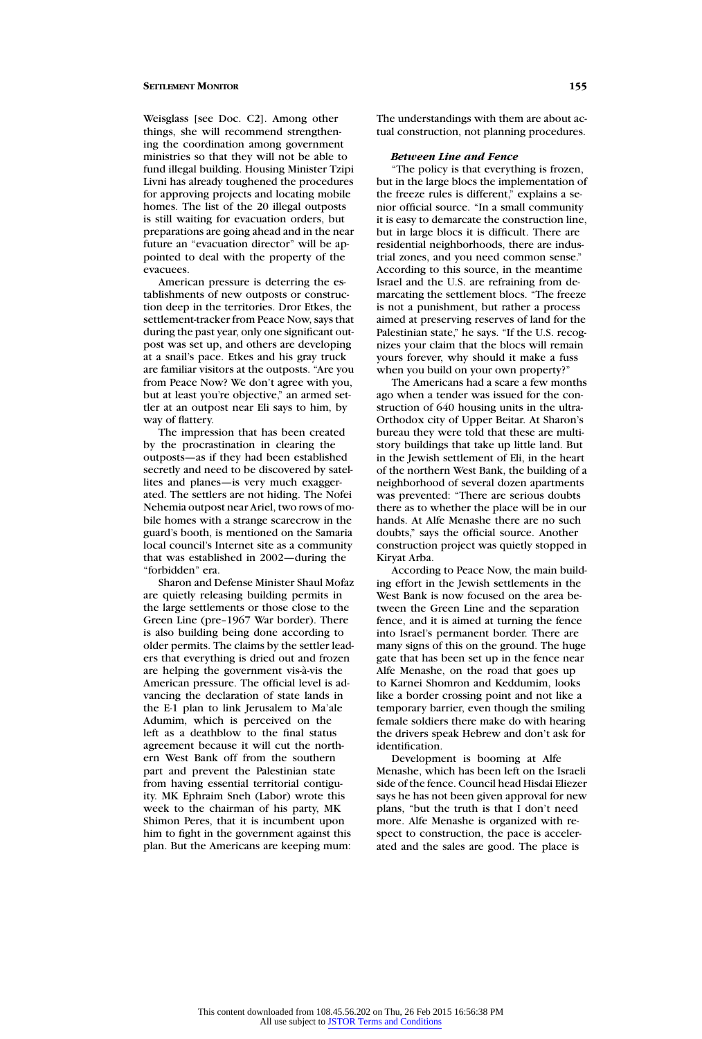Weisglass [see Doc. C2]. Among other things, she will recommend strengthening the coordination among government ministries so that they will not be able to fund illegal building. Housing Minister Tzipi Livni has already toughened the procedures for approving projects and locating mobile homes. The list of the 20 illegal outposts is still waiting for evacuation orders, but preparations are going ahead and in the near future an "evacuation director" will be appointed to deal with the property of the evacuees.

American pressure is deterring the establishments of new outposts or construction deep in the territories. Dror Etkes, the settlement-tracker from Peace Now, says that during the past year, only one significant outpost was set up, and others are developing at a snail's pace. Etkes and his gray truck are familiar visitors at the outposts. "Are you from Peace Now? We don't agree with you, but at least you're objective," an armed settler at an outpost near Eli says to him, by way of flattery.

The impression that has been created by the procrastination in clearing the outposts—as if they had been established secretly and need to be discovered by satellites and planes—is very much exaggerated. The settlers are not hiding. The Nofei Nehemia outpost near Ariel, two rows of mobile homes with a strange scarecrow in the guard's booth, is mentioned on the Samaria local council's Internet site as a community that was established in 2002—during the "forbidden" era.

Sharon and Defense Minister Shaul Mofaz are quietly releasing building permits in the large settlements or those close to the Green Line (pre–1967 War border). There is also building being done according to older permits. The claims by the settler leaders that everything is dried out and frozen are helping the government vis-à-vis the American pressure. The official level is advancing the declaration of state lands in the E-1 plan to link Jerusalem to Ma'ale Adumim, which is perceived on the left as a deathblow to the final status agreement because it will cut the northern West Bank off from the southern part and prevent the Palestinian state from having essential territorial contiguity. MK Ephraim Sneh (Labor) wrote this week to the chairman of his party, MK Shimon Peres, that it is incumbent upon him to fight in the government against this plan. But the Americans are keeping mum:

The understandings with them are about actual construction, not planning procedures.

## *Between Line and Fence*

"The policy is that everything is frozen, but in the large blocs the implementation of the freeze rules is different," explains a senior official source. "In a small community it is easy to demarcate the construction line, but in large blocs it is difficult. There are residential neighborhoods, there are industrial zones, and you need common sense." According to this source, in the meantime Israel and the U.S. are refraining from demarcating the settlement blocs. "The freeze is not a punishment, but rather a process aimed at preserving reserves of land for the Palestinian state," he says. "If the U.S. recognizes your claim that the blocs will remain yours forever, why should it make a fuss when you build on your own property?"

The Americans had a scare a few months ago when a tender was issued for the construction of 640 housing units in the ultra-Orthodox city of Upper Beitar. At Sharon's bureau they were told that these are multistory buildings that take up little land. But in the Jewish settlement of Eli, in the heart of the northern West Bank, the building of a neighborhood of several dozen apartments was prevented: "There are serious doubts there as to whether the place will be in our hands. At Alfe Menashe there are no such doubts," says the official source. Another construction project was quietly stopped in Kiryat Arba.

According to Peace Now, the main building effort in the Jewish settlements in the West Bank is now focused on the area between the Green Line and the separation fence, and it is aimed at turning the fence into Israel's permanent border. There are many signs of this on the ground. The huge gate that has been set up in the fence near Alfe Menashe, on the road that goes up to Karnei Shomron and Keddumim, looks like a border crossing point and not like a temporary barrier, even though the smiling female soldiers there make do with hearing the drivers speak Hebrew and don't ask for identification.

Development is booming at Alfe Menashe, which has been left on the Israeli side of the fence. Council head Hisdai Eliezer says he has not been given approval for new plans, "but the truth is that I don't need more. Alfe Menashe is organized with respect to construction, the pace is accelerated and the sales are good. The place is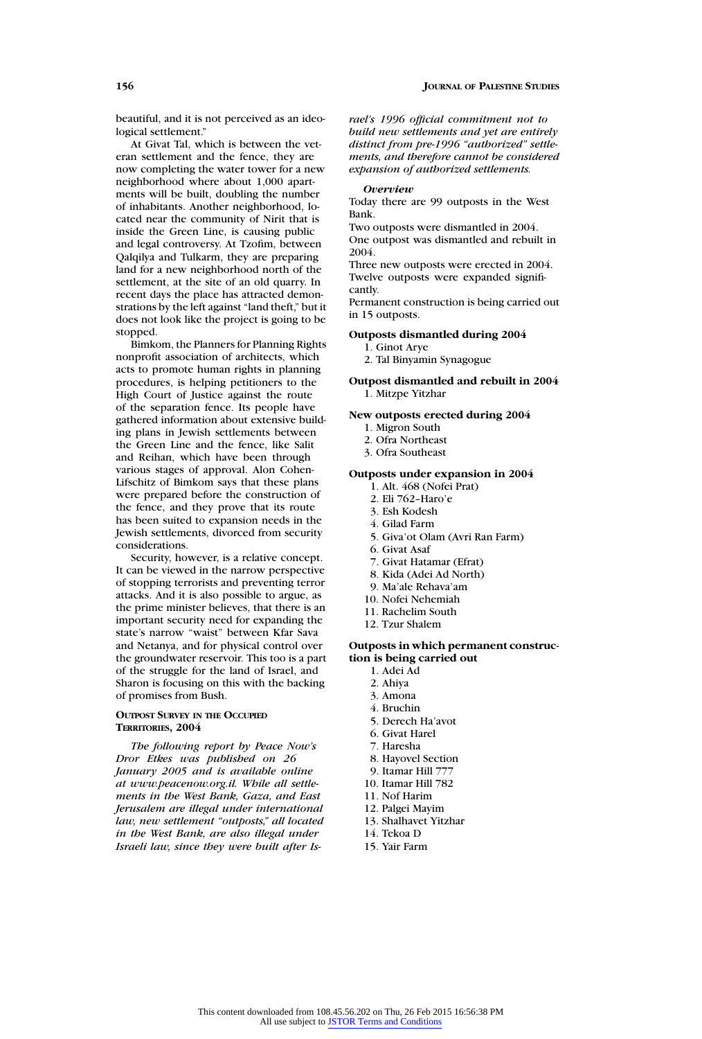beautiful, and it is not perceived as an ideological settlement."

At Givat Tal, which is between the veteran settlement and the fence, they are now completing the water tower for a new neighborhood where about 1,000 apartments will be built, doubling the number of inhabitants. Another neighborhood, located near the community of Nirit that is inside the Green Line, is causing public and legal controversy. At Tzofim, between Qalqilya and Tulkarm, they are preparing land for a new neighborhood north of the settlement, at the site of an old quarry. In recent days the place has attracted demonstrations by the left against "land theft," but it does not look like the project is going to be stopped.

Bimkom, the Planners for Planning Rights nonprofit association of architects, which acts to promote human rights in planning procedures, is helping petitioners to the High Court of Justice against the route of the separation fence. Its people have gathered information about extensive building plans in Jewish settlements between the Green Line and the fence, like Salit and Reihan, which have been through various stages of approval. Alon Cohen-Lifschitz of Bimkom says that these plans were prepared before the construction of the fence, and they prove that its route has been suited to expansion needs in the Jewish settlements, divorced from security considerations.

Security, however, is a relative concept. It can be viewed in the narrow perspective of stopping terrorists and preventing terror attacks. And it is also possible to argue, as the prime minister believes, that there is an important security need for expanding the state's narrow "waist" between Kfar Sava and Netanya, and for physical control over the groundwater reservoir. This too is a part of the struggle for the land of Israel, and Sharon is focusing on this with the backing of promises from Bush.

# **OUTPOST SURVEY IN THE OCCUPIED TERRITORIES, 2004**

*The following report by Peace Now's Dror Etkes was published on 26 January 2005 and is available online at www.peacenow.org.il. While all settlements in the West Bank, Gaza, and East Jerusalem are illegal under international law, new settlement "outposts," all located in the West Bank, are also illegal under Israeli law, since they were built after Is-* *rael's 1996 official commitment not to build new settlements and yet are entirely distinct from pre-1996 "authorized" settlements, and therefore cannot be considered expansion of authorized settlements.*

#### *Overview*

Today there are 99 outposts in the West Bank.

Two outposts were dismantled in 2004.

One outpost was dismantled and rebuilt in 2004.

Three new outposts were erected in 2004. Twelve outposts were expanded significantly.

Permanent construction is being carried out in 15 outposts.

#### **Outposts dismantled during 2004**

- 1. Ginot Arye
- 2. Tal Binyamin Synagogue

**Outpost dismantled and rebuilt in 2004** 1. Mitzpe Yitzhar

**New outposts erected during 2004**

- 1. Migron South
- 2. Ofra Northeast
- 3. Ofra Southeast

## **Outposts under expansion in 2004**

- 1. Alt. 468 (Nofei Prat)
- 2. Eli 762–Haro'e
- 3. Esh Kodesh
- 4. Gilad Farm
- 5. Giva'ot Olam (Avri Ran Farm)
- 6. Givat Asaf
- 7. Givat Hatamar (Efrat)
- 8. Kida (Adei Ad North)
- 9. Ma'ale Rehava'am
- 10. Nofei Nehemiah
- 11. Rachelim South
- 12. Tzur Shalem

# **Outposts in which permanent construction is being carried out**

- 1. Adei Ad
- 2. Ahiya
- 3. Amona
- 4. Bruchin
- 5. Derech Ha'avot
- 6. Givat Harel
- 7. Haresha
- 8. Hayovel Section
- 9. Itamar Hill 777
- 10. Itamar Hill 782
- 11. Nof Harim
- 12. Palgei Mayim
- 13. Shalhavet Yitzhar
- 14. Tekoa D
- 15. Yair Farm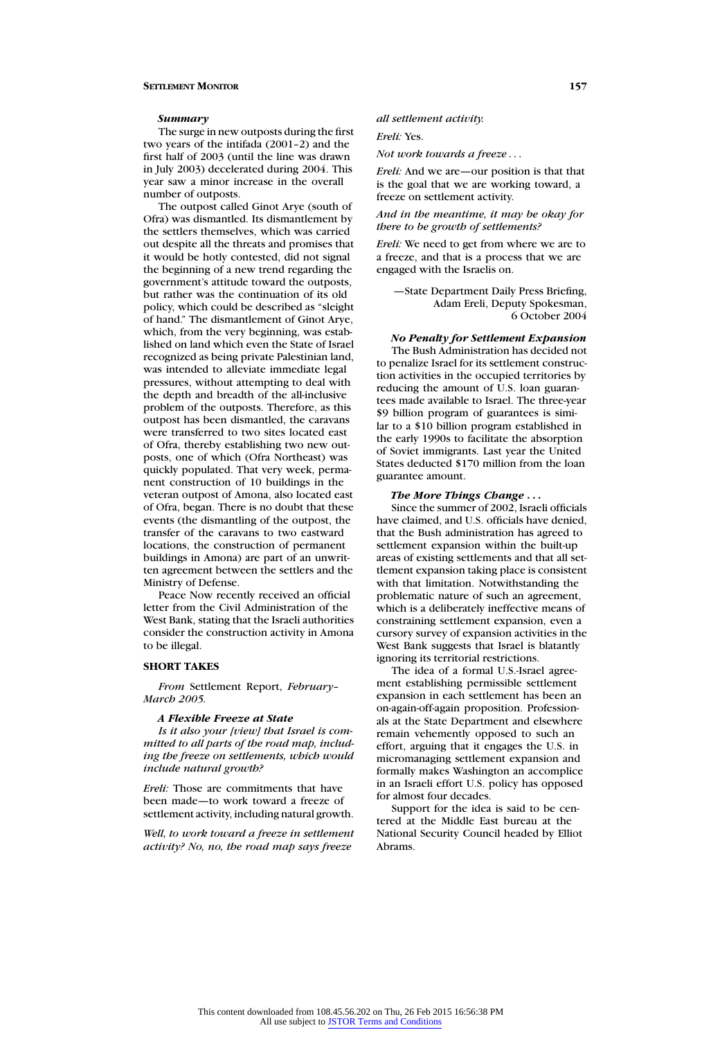#### *Summary*

The surge in new outposts during the first two years of the intifada (2001–2) and the first half of 2003 (until the line was drawn in July 2003) decelerated during 2004. This year saw a minor increase in the overall number of outposts.

The outpost called Ginot Arye (south of Ofra) was dismantled. Its dismantlement by the settlers themselves, which was carried out despite all the threats and promises that it would be hotly contested, did not signal the beginning of a new trend regarding the government's attitude toward the outposts, but rather was the continuation of its old policy, which could be described as "sleight of hand." The dismantlement of Ginot Arye, which, from the very beginning, was established on land which even the State of Israel recognized as being private Palestinian land, was intended to alleviate immediate legal pressures, without attempting to deal with the depth and breadth of the all-inclusive problem of the outposts. Therefore, as this outpost has been dismantled, the caravans were transferred to two sites located east of Ofra, thereby establishing two new outposts, one of which (Ofra Northeast) was quickly populated. That very week, permanent construction of 10 buildings in the veteran outpost of Amona, also located east of Ofra, began. There is no doubt that these events (the dismantling of the outpost, the transfer of the caravans to two eastward locations, the construction of permanent buildings in Amona) are part of an unwritten agreement between the settlers and the Ministry of Defense.

Peace Now recently received an official letter from the Civil Administration of the West Bank, stating that the Israeli authorities consider the construction activity in Amona to be illegal.

#### **SHORT TAKES**

*From* Settlement Report, *February– March 2005.*

#### *A Flexible Freeze at State*

*Is it also your [view] that Israel is committed to all parts of the road map, including the freeze on settlements, which would include natural growth?*

*Ereli:* Those are commitments that have been made—to work toward a freeze of settlement activity, including natural growth.

*Well, to work toward a freeze in settlement activity? No, no, the road map says freeze*

*all settlement activity.*

*Ereli:* Yes.

*Not work towards a freeze* ...

*Ereli:* And we are—our position is that that is the goal that we are working toward, a freeze on settlement activity.

*And in the meantime, it may be okay for there to be growth of settlements?*

*Ereli:* We need to get from where we are to a freeze, and that is a process that we are engaged with the Israelis on.

—State Department Daily Press Briefing, Adam Ereli, Deputy Spokesman, 6 October 2004

#### *No Penalty for Settlement Expansion*

The Bush Administration has decided not to penalize Israel for its settlement construction activities in the occupied territories by reducing the amount of U.S. loan guarantees made available to Israel. The three-year \$9 billion program of guarantees is similar to a \$10 billion program established in the early 1990s to facilitate the absorption of Soviet immigrants. Last year the United States deducted \$170 million from the loan guarantee amount.

# *The More Things Change ...*

Since the summer of 2002, Israeli officials have claimed, and U.S. officials have denied, that the Bush administration has agreed to settlement expansion within the built-up areas of existing settlements and that all settlement expansion taking place is consistent with that limitation. Notwithstanding the problematic nature of such an agreement, which is a deliberately ineffective means of constraining settlement expansion, even a cursory survey of expansion activities in the West Bank suggests that Israel is blatantly ignoring its territorial restrictions.

The idea of a formal U.S.-Israel agreement establishing permissible settlement expansion in each settlement has been an on-again-off-again proposition. Professionals at the State Department and elsewhere remain vehemently opposed to such an effort, arguing that it engages the U.S. in micromanaging settlement expansion and formally makes Washington an accomplice in an Israeli effort U.S. policy has opposed for almost four decades.

Support for the idea is said to be centered at the Middle East bureau at the National Security Council headed by Elliot Abrams.